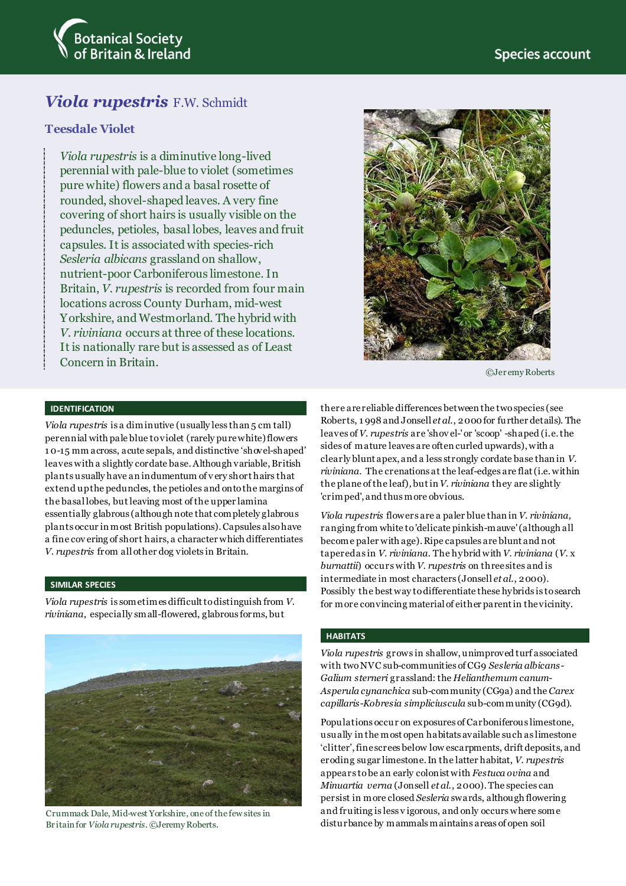

# *Viola rupestris* F.W. Schmidt

# **Teesdale Violet**

*Viola rupestris* is a diminutive long-lived perennial with pale-blue to violet (sometimes pure white) flowers and a basal rosette of rounded, shovel-shaped leaves. A very fine covering of short hairs is usually visible on the peduncles, petioles, basal lobes, leaves and fruit capsules. It is associated with species-rich *Sesleria albicans* grassland on shallow, nutrient-poor Carboniferous limestone. In Britain, *V. rupestris* is recorded from four main locations across County Durham, mid-west Yorkshire, and Westmorland. The hybrid with *V. riviniana* occurs at three of these locations. It is nationally rare but is assessed as of Least Concern in Britain.



©Jer emy Roberts

# **IDENTIFICATION**

*Viola rupestris* is a diminutive (usually less than 5 cm tall) perennial with pale blue to violet (rarely pure white) flowers 1 0-15 mm across, acute sepals, and distinctive 'shovel-shaped' leaves with a slightly cordate base.Although variable, British plants usually have an indumentum of v ery short hairs that extend up the peduncles, the petioles and onto the margins of the basal lobes, but leaving most of the upper lamina essentially glabrous (although note that completely glabrous plants occur in most British populations).Capsules also have a fine cov ering of short hairs, a character which differentiates *V. rupestris* from all other dog violets in Britain.

# **SIMILAR SPECIES**

*Viola rupestris* is sometimes difficult to distinguish from *V. riviniana*, especially small-flowered, glabrous forms, but



Crummack Dale, Mid-west Yorkshire, one of the few sites in Br itain for *Viola rupestris*. ©Jeremy Roberts.

there are reliable differences between the two species (see Roberts, 1 998 and Jonsell *et al*., 2000 for further details). The leaves of *V. rupestris* are 'shov el-' or 'scoop' -shaped (i.e. the sides of mature leaves are often curled upwards), with a clearly blunt apex, and a less strongly cordate base than in *V. riviniana*. The crenations at the leaf-edges are flat (i.e. within the plane of the leaf)*,* but in *V. riviniana* they are slightly 'crimped', and thus more obvious.

*Viola rupestris* flowers are a paler blue than in *V. riviniana,* ranging from white to 'delicate pinkish-mauve' (although all become paler with age). Ripe capsules are blunt and not tapered as in *V. riviniana*. The hybrid with *V. riviniana* (*V.* x *burnattii*) occurs with *V. rupestris* on three sites and is intermediate in most characters (Jonsell *et al*., 2000). Possibly the best way to differentiate these hybrids is to search for more convincing material of either parent in the vicinity.

#### **HABITATS**

*Viola rupestris* grows in shallow, unimproved turf associated with two NVC sub-communities of CG9 *Sesleria albicans*-*Galium sterneri* grassland: the *Helianthemum canum*-*Asperula cynanchica* sub-community (CG9a) and the *Carex capillaris*-*Kobresia simpliciuscula* sub-community (CG9d).

Populations occur on exposures of Carboniferous limestone, usually in the most open habitats available such as limestone 'clitter', fine screes below low escarpments, drift deposits, and eroding sugar limestone. In the latter habitat, *V. rupestris*  appears to be an early colonist with *Festuca ovina* and *Minuartia verna* (Jonsell *et al*., 2000). The species can persist in more closed *Sesleria* swards, although flowering and fruiting is less v igorous, and only occurs where some disturbance by mammals maintains areas of open soil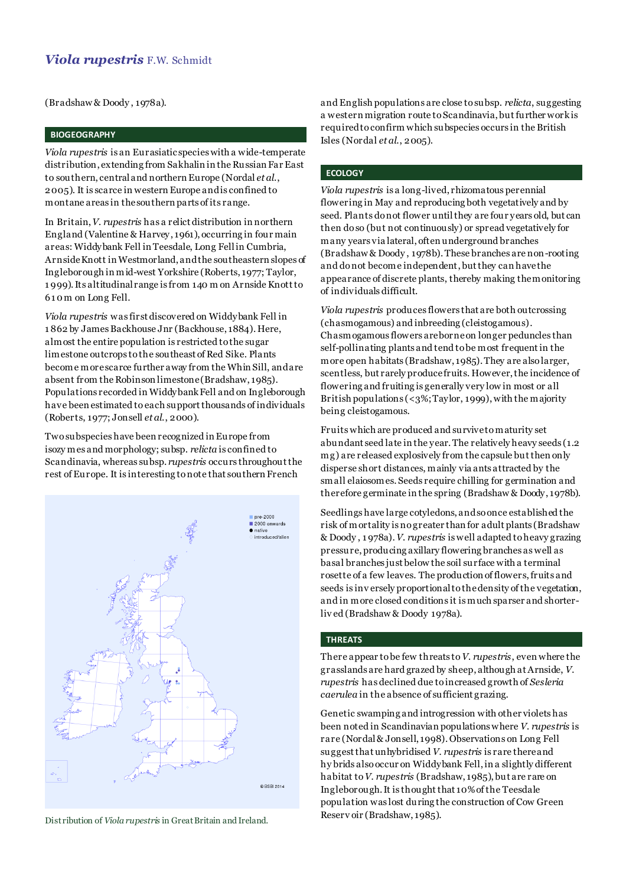(Bradshaw & Doody , 1978a).

### **BIOGEOGRAPHY**

*Viola rupestris* is an Eurasiatic species with a wide-temperate distribution, extending from Sakhalin in the Russian Far East to southern, central and northern Europe (Nordal *et al*., 2005). It is scarce in western Europe and is confined to montane areas in the southern parts of its range.

In Britain,*V. rupestris* has a relict distribution in northern England (Valentine & Harvey, 1961), occurring in four main areas: Widdybank Fell in Teesdale, Long Fell in Cumbria, Arnside Knott in Westmorland, and the southeastern slopes of Ingleborough in mid-west Yorkshire (Roberts, 1977; Taylor, 1 999). Its altitudinal range is from 140 m on Arnside Knott to 61 0 m on Long Fell.

*Viola rupestris* was first discovered on Widdybank Fell in 1 862 by James Backhouse Jnr (Backhouse, 1884). Here, almost the entire population is restricted to the sugar limestone outcrops to the southeast of Red Sike. Plants become more scarce further away from the Whin Sill, and are absent from the Robinson limestone (Bradshaw, 1985). Populations recorded in Widdybank Fell and on Ingleborough have been estimated to each support thousands of individuals (Roberts, 1977; Jonsell *et al*., 2000).

Two subspecies have been recognized in Europe from isozy mes and morphology; subsp. *relicta* is confined to Scandinavia, whereas subsp. *rupestris* occurs throughout the rest of Europe. It is interesting to note that southern French



Reserv oir (Bradshaw, 1985). Distribution of *Viola rupestris* in Great Britain and Ireland.

and English populations are close to subsp. *relicta*, suggesting a western migration route to Scandinavia, but further work is required to confirm which subspecies occurs in the British Isles (Nordal *et al*., 2005).

### **ECOLOGY**

*Viola rupestris* is a long-lived, rhizomatous perennial flowering in May and reproducing both vegetatively and by seed. Plants do not flower untilthey are four years old, but can then do so (but not continuously) or spread vegetatively for many years via lateral, often underground branches (Bradshaw & Doody , 1978b). These branches are non-rooting and do not become independent, but they can have the appearance of discrete plants, thereby making the monitoring of individuals difficult.

*Viola rupestris* produces flowers that are both outcrossing (chasmogamous) and inbreeding (cleistogamous). Chasmogamous flowers are borne on longer peduncles than self-pollinating plants and tend to be most frequent in the more open habitats (Bradshaw, 1985). They are also larger, scentless, but rarely produce fruits. However, the incidence of flowering and fruiting is generally very low in most or all British populations  $\left( \langle 3\% ; \text{Taylor}, 1999 \right)$ , with the majority being cleistogamous.

Fruits which are produced and survive to maturity set abundant seed late in the year. The relatively heavy seeds (1.2 mg) are released explosively from the capsule but then only disperse short distances, mainly via ants attracted by the small elaiosomes. Seeds require chilling for germination and therefore germinate in the spring (Bradshaw & Doody, 1978b).

Seedlings have large cotyledons, and so once established the risk of mortality is no greater than for adult plants (Bradshaw & Doody , 1 978a). *V. rupestris* is well adapted to heavy grazing pressure, producing axillary flowering branches as well as basal branches just below the soil surface with a terminal rosette of a few leaves. The production of flowers, fruits and seeds is inv ersely proportional to the density of the vegetation, and in more closed conditions it is much sparser and shorterliv ed (Bradshaw & Doody 1978a).

### **THREATS**

There appear to be few threats to*V. rupestris*, even where the grasslands are hard grazed by sheep, although at Arnside, *V. rupestris* has declined due to increased growth of *Sesleria caerulea* in the absence of sufficient grazing.

Genetic swamping and introgression with other violets has been noted in Scandinavian populations where *V. rupestris* is rare (Nordal & Jonsell, 1998). Observations on Long Fell suggest that unhybridised *V. rupestris* is rare there and hy brids also occur on Widdybank Fell, in a slightly different habitat to *V. rupestris* (Bradshaw, 1985), but are rare on Ingleborough. It is thought that 10% of the Teesdale population was lost during the construction of Cow Green